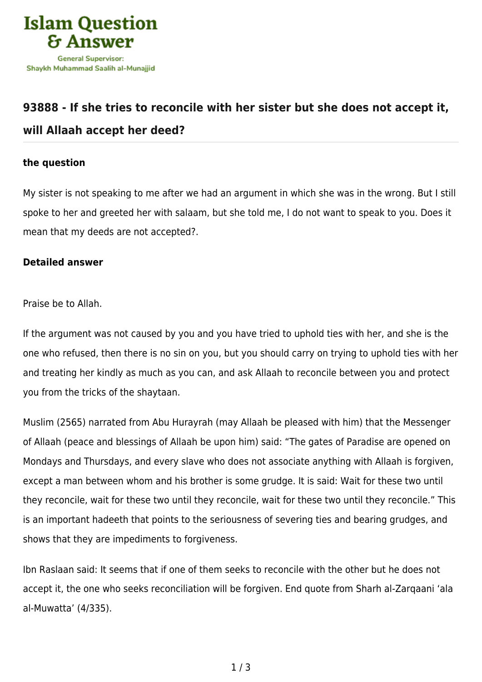

## **[93888 - If she tries to reconcile with her sister but she does not accept it,](https://islamqa.com/en/answers/93888/if-she-tries-to-reconcile-with-her-sister-but-she-does-not-accept-it-will-allaah-accept-her-deed) [will Allaah accept her deed?](https://islamqa.com/en/answers/93888/if-she-tries-to-reconcile-with-her-sister-but-she-does-not-accept-it-will-allaah-accept-her-deed)**

## **the question**

My sister is not speaking to me after we had an argument in which she was in the wrong. But I still spoke to her and greeted her with salaam, but she told me, I do not want to speak to you. Does it mean that my deeds are not accepted?.

## **Detailed answer**

Praise be to Allah.

If the argument was not caused by you and you have tried to uphold ties with her, and she is the one who refused, then there is no sin on you, but you should carry on trying to uphold ties with her and treating her kindly as much as you can, and ask Allaah to reconcile between you and protect you from the tricks of the shaytaan.

Muslim (2565) narrated from Abu Hurayrah (may Allaah be pleased with him) that the Messenger of Allaah (peace and blessings of Allaah be upon him) said: "The gates of Paradise are opened on Mondays and Thursdays, and every slave who does not associate anything with Allaah is forgiven, except a man between whom and his brother is some grudge. It is said: Wait for these two until they reconcile, wait for these two until they reconcile, wait for these two until they reconcile." This is an important hadeeth that points to the seriousness of severing ties and bearing grudges, and shows that they are impediments to forgiveness.

Ibn Raslaan said: It seems that if one of them seeks to reconcile with the other but he does not accept it, the one who seeks reconciliation will be forgiven. End quote from Sharh al-Zarqaani 'ala al-Muwatta' (4/335).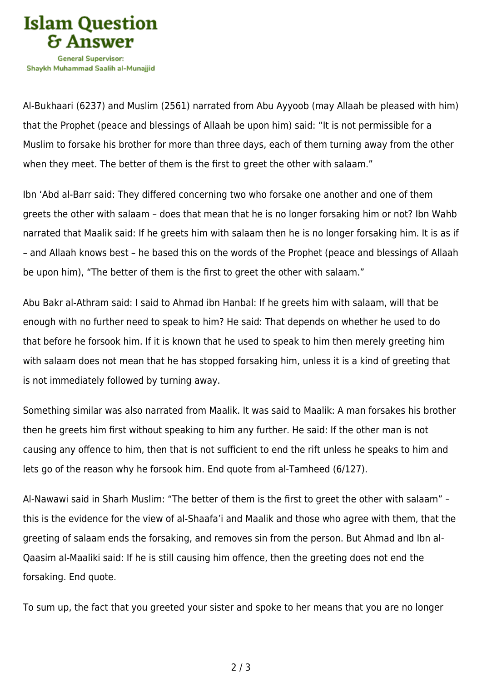

Shavkh Muhammad Saalih al-Munaiiid

Al-Bukhaari (6237) and Muslim (2561) narrated from Abu Ayyoob (may Allaah be pleased with him) that the Prophet (peace and blessings of Allaah be upon him) said: "It is not permissible for a Muslim to forsake his brother for more than three days, each of them turning away from the other when they meet. The better of them is the first to greet the other with salaam."

Ibn 'Abd al-Barr said: They differed concerning two who forsake one another and one of them greets the other with salaam – does that mean that he is no longer forsaking him or not? Ibn Wahb narrated that Maalik said: If he greets him with salaam then he is no longer forsaking him. It is as if – and Allaah knows best – he based this on the words of the Prophet (peace and blessings of Allaah be upon him), "The better of them is the first to greet the other with salaam."

Abu Bakr al-Athram said: I said to Ahmad ibn Hanbal: If he greets him with salaam, will that be enough with no further need to speak to him? He said: That depends on whether he used to do that before he forsook him. If it is known that he used to speak to him then merely greeting him with salaam does not mean that he has stopped forsaking him, unless it is a kind of greeting that is not immediately followed by turning away.

Something similar was also narrated from Maalik. It was said to Maalik: A man forsakes his brother then he greets him first without speaking to him any further. He said: If the other man is not causing any offence to him, then that is not sufficient to end the rift unless he speaks to him and lets go of the reason why he forsook him. End quote from al-Tamheed (6/127).

Al-Nawawi said in Sharh Muslim: "The better of them is the first to greet the other with salaam" – this is the evidence for the view of al-Shaafa'i and Maalik and those who agree with them, that the greeting of salaam ends the forsaking, and removes sin from the person. But Ahmad and Ibn al-Qaasim al-Maaliki said: If he is still causing him offence, then the greeting does not end the forsaking. End quote.

To sum up, the fact that you greeted your sister and spoke to her means that you are no longer